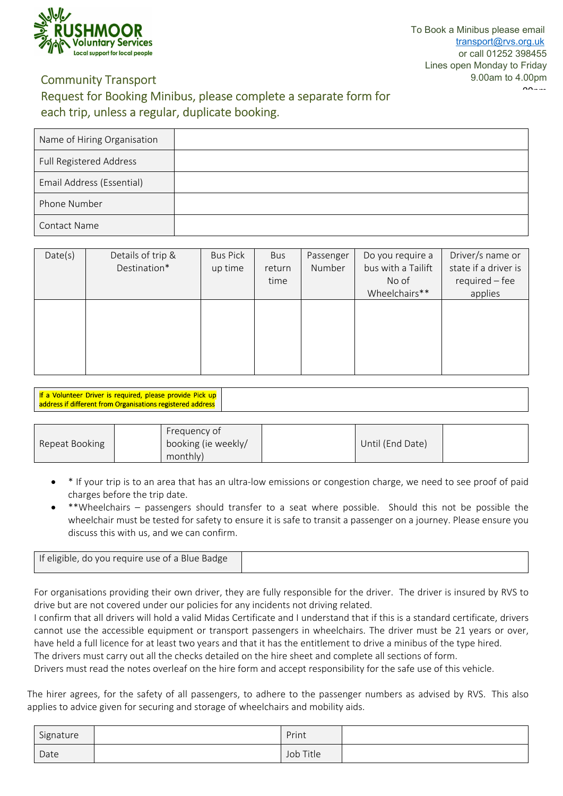

## **Community Transport**

# **Request for Booking Minibus, please complete a separate form for each trip, unless a regular, duplicate booking.**

| Name of Hiring Organisation |  |
|-----------------------------|--|
| Full Registered Address     |  |
| Email Address (Essential)   |  |
| Phone Number                |  |
| <b>Contact Name</b>         |  |

| Date(s) | Details of trip & | <b>Bus Pick</b> | Bus    | Passenger | Do you require a   | Driver/s name or     |
|---------|-------------------|-----------------|--------|-----------|--------------------|----------------------|
|         | Destination*      | up time         | return | Number    | bus with a Tailift | state if a driver is |
|         |                   |                 | time   |           | No of              | $required - fee$     |
|         |                   |                 |        |           | Wheelchairs**      | applies              |
|         |                   |                 |        |           |                    |                      |
|         |                   |                 |        |           |                    |                      |
|         |                   |                 |        |           |                    |                      |
|         |                   |                 |        |           |                    |                      |
|         |                   |                 |        |           |                    |                      |
|         |                   |                 |        |           |                    |                      |

| If a Volunteer Driver is required, please provide Pick up                    |  |  |  |  |
|------------------------------------------------------------------------------|--|--|--|--|
| $\sqrt{\mathsf{address}}$ if different from Organisations registered address |  |  |  |  |

|                |          | Frequency of        |                  |  |
|----------------|----------|---------------------|------------------|--|
| Repeat Booking |          | booking (ie weekly/ | Until (End Date) |  |
|                | monthly) |                     |                  |  |

- \* If your trip is to an area that has an ultra-low emissions or congestion charge, we need to see proof of paid charges before the trip date.
- \*\*Wheelchairs passengers should transfer to a seat where possible. Should this not be possible the wheelchair must be tested for safety to ensure it is safe to transit a passenger on a journey. Please ensure you discuss this with us, and we can confirm.

| If eligible, do you require use of a Blue Badge |  |
|-------------------------------------------------|--|
|                                                 |  |

For organisations providing their own driver, they are fully responsible for the driver. The driver is insured by RVS to drive but are not covered under our policies for any incidents not driving related.

I confirm that all drivers will hold a valid Midas Certificate and I understand that if this is a standard certificate, drivers cannot use the accessible equipment or transport passengers in wheelchairs. The driver must be 21 years or over, have held a full licence for at least two years and that it has the entitlement to drive a minibus of the type hired.

The drivers must carry out all the checks detailed on the hire sheet and complete all sections of form.

Drivers must read the notes overleaf on the hire form and accept responsibility for the safe use of this vehicle.

The hirer agrees, for the safety of all passengers, to adhere to the passenger numbers as advised by RVS. This also applies to advice given for securing and storage of wheelchairs and mobility aids.

| Signature | Print     |  |
|-----------|-----------|--|
| Date      | Job Title |  |